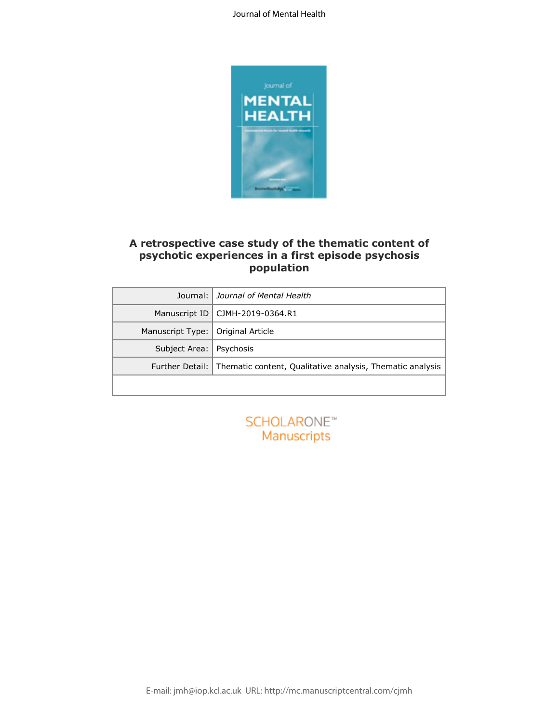

### **A retrospective case study of the thematic content of psychotic experiences in a first episode psychosis population**

|                        | A retrospective case study of the thematic content of            |
|------------------------|------------------------------------------------------------------|
|                        | psychotic experiences in a first episode psychosis<br>population |
| Journal:               | Journal of Mental Health                                         |
| Manuscript ID          | CJMH-2019-0364.R1                                                |
| Manuscript Type:       | Original Article                                                 |
| Subject Area:          | Psychosis                                                        |
| <b>Further Detail:</b> | Thematic content, Qualitative analysis, Thematic analysis        |
|                        |                                                                  |
|                        |                                                                  |
|                        | SCHOLARONE <sup>*</sup>                                          |
|                        | <b>Manuscripts</b>                                               |
|                        |                                                                  |
|                        |                                                                  |
|                        |                                                                  |
|                        |                                                                  |

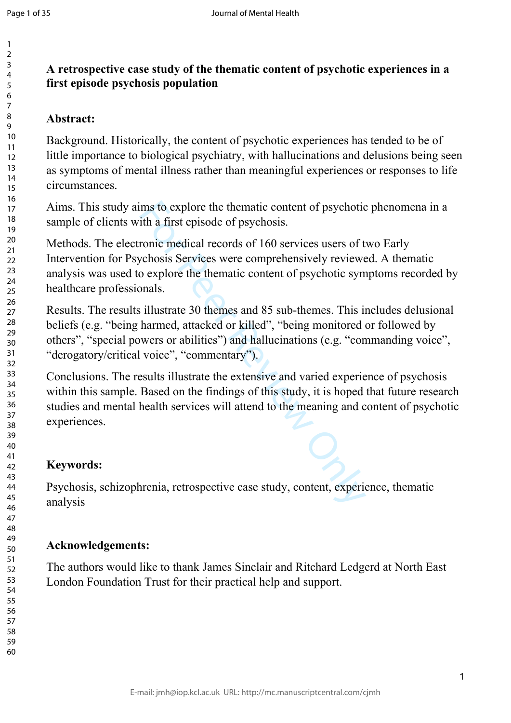# **A retrospective case study of the thematic content of psychotic experiences in a first episode psychosis population**

## **Abstract:**

Background. Historically, the content of psychotic experiences has tended to be of little importance to biological psychiatry, with hallucinations and delusions being seen as symptoms of mental illness rather than meaningful experiences or responses to life circumstances.

Aims. This study aims to explore the thematic content of psychotic phenomena in a sample of clients with a first episode of psychosis.

ms to explore the thematic content of psychotic<br>tih a first episode of psychosis.<br>cronic medical records of 160 services users of t<br>chosis Services were comprehensively reviewe<br>o explore the thematic content of psychotic s Methods. The electronic medical records of 160 services users of two Early Intervention for Psychosis Services were comprehensively reviewed. A thematic analysis was used to explore the thematic content of psychotic symptoms recorded by healthcare professionals.

Results. The results illustrate 30 themes and 85 sub-themes. This includes delusional beliefs (e.g. "being harmed, attacked or killed", "being monitored or followed by others", "special powers or abilities") and hallucinations (e.g. "commanding voice", "derogatory/critical voice", "commentary").

Conclusions. The results illustrate the extensive and varied experience of psychosis within this sample. Based on the findings of this study, it is hoped that future research studies and mental health services will attend to the meaning and content of psychotic experiences.

# **Keywords:**

Psychosis, schizophrenia, retrospective case study, content, experience, thematic analysis

# **Acknowledgements:**

The authors would like to thank James Sinclair and Ritchard Ledgerd at North East London Foundation Trust for their practical help and support.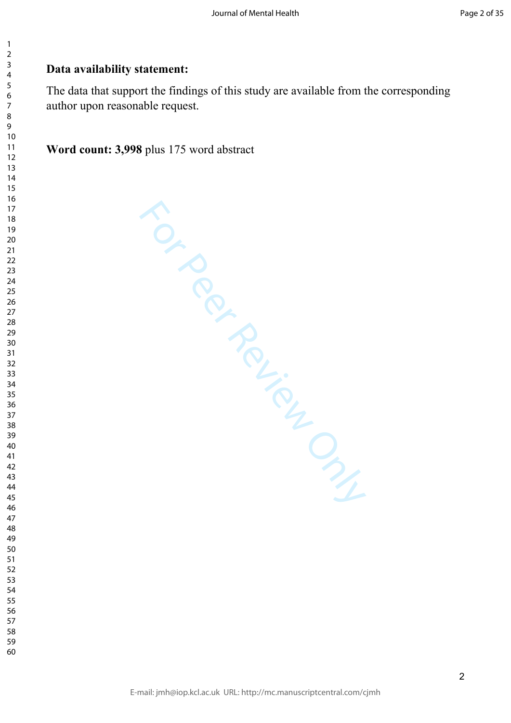#### $\overline{3}$  $\overline{4}$  $\overline{7}$

 $\mathbf{1}$  $\overline{2}$ 

 

# **Data availability statement:**

The data that support the findings of this study are available from the corresponding author upon reasonable request.

**Word count: 3,998** plus 175 word abstract

For Per Review Only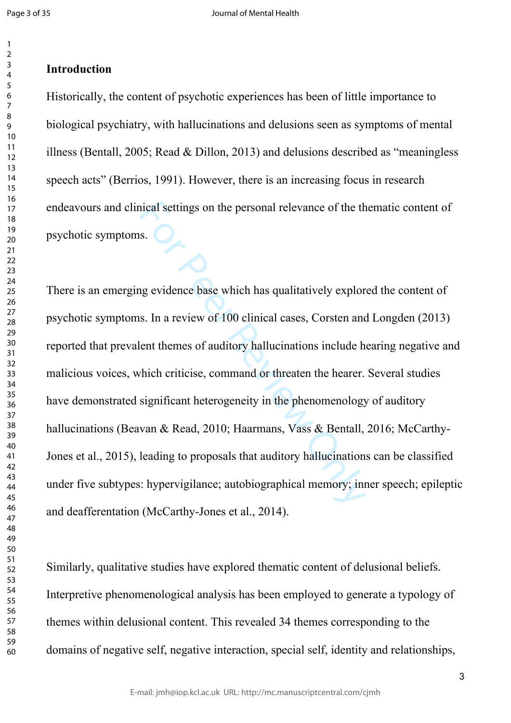#### $\overline{2}$  $\overline{3}$  $\overline{4}$  $\overline{7}$

## **Introduction**

Historically, the content of psychotic experiences has been of little importance to biological psychiatry, with hallucinations and delusions seen as symptoms of mental illness (Bentall, 2005; Read & Dillon, 2013) and delusions described as "meaningless speech acts" (Berrios, 1991). However, there is an increasing focus in research endeavours and clinical settings on the personal relevance of the thematic content of psychotic symptoms.

ical settings on the personal relevance of the th<br>s.<br>S.<br>The evidence base which has qualitatively explor<br>s. In a review of 100 clinical cases, Corsten and<br>ent themes of auditory hallucinations include h<br>thich criticise, co There is an emerging evidence base which has qualitatively explored the content of psychotic symptoms. In a review of 100 clinical cases, Corsten and Longden (2013) reported that prevalent themes of auditory hallucinations include hearing negative and malicious voices, which criticise, command or threaten the hearer. Several studies have demonstrated significant heterogeneity in the phenomenology of auditory hallucinations (Beavan & Read, 2010; Haarmans, Vass & Bentall, 2016; McCarthy-Jones et al., 2015), leading to proposals that auditory hallucinations can be classified under five subtypes: hypervigilance; autobiographical memory; inner speech; epileptic and deafferentation (McCarthy-Jones et al., 2014).

Similarly, qualitative studies have explored thematic content of delusional beliefs. Interpretive phenomenological analysis has been employed to generate a typology of themes within delusional content. This revealed 34 themes corresponding to the domains of negative self, negative interaction, special self, identity and relationships,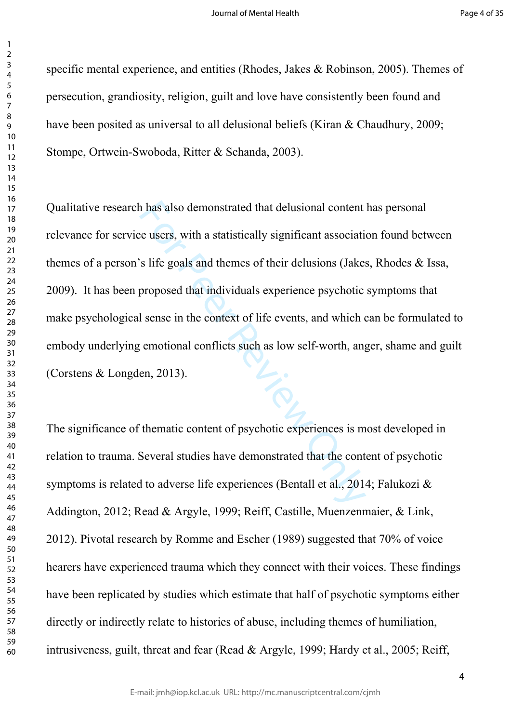$\mathbf{1}$ 

specific mental experience, and entities (Rhodes, Jakes & Robinson, 2005). Themes of persecution, grandiosity, religion, guilt and love have consistently been found and have been posited as universal to all delusional beliefs (Kiran & Chaudhury, 2009; Stompe, Ortwein-Swoboda, Ritter & Schanda, 2003).

The also demonstrated that delusional content<br>
E users, with a statistically significant associations<br>
S life goals and themes of their delusions (Jake:<br>
proposed that individuals experience psychotic<br>
I sense in the conte Qualitative research has also demonstrated that delusional content has personal relevance for service users, with a statistically significant association found between themes of a person's life goals and themes of their delusions (Jakes, Rhodes & Issa, 2009). It has been proposed that individuals experience psychotic symptoms that make psychological sense in the context of life events, and which can be formulated to embody underlying emotional conflicts such as low self-worth, anger, shame and guilt (Corstens & Longden, 2013).

The significance of thematic content of psychotic experiences is most developed in relation to trauma. Several studies have demonstrated that the content of psychotic symptoms is related to adverse life experiences (Bentall et al., 2014; Falukozi & Addington, 2012; Read & Argyle, 1999; Reiff, Castille, Muenzenmaier, & Link, 2012). Pivotal research by Romme and Escher (1989) suggested that 70% of voice hearers have experienced trauma which they connect with their voices. These findings have been replicated by studies which estimate that half of psychotic symptoms either directly or indirectly relate to histories of abuse, including themes of humiliation, intrusiveness, guilt, threat and fear (Read & Argyle, 1999; Hardy et al., 2005; Reiff,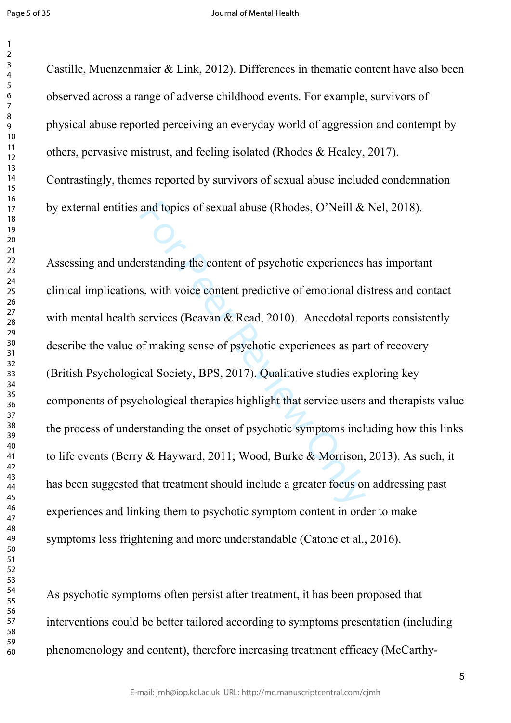Castille, Muenzenmaier & Link, 2012). Differences in thematic content have also been observed across a range of adverse childhood events. For example, survivors of physical abuse reported perceiving an everyday world of aggression and contempt by others, pervasive mistrust, and feeling isolated (Rhodes & Healey, 2017). Contrastingly, themes reported by survivors of sexual abuse included condemnation by external entities and topics of sexual abuse (Rhodes, O'Neill & Nel, 2018).

and topics of sexual abuse (Rhodes, O'Neill &<br>
stratanding the content of psychotic experiences<br>
s, with voice content predictive of emotional di<br>
services (Beavan & Read, 2010). Anecdotal re<br>
of making sense of psychotic Assessing and understanding the content of psychotic experiences has important clinical implications, with voice content predictive of emotional distress and contact with mental health services (Beavan  $\&$  Read, 2010). Anecdotal reports consistently describe the value of making sense of psychotic experiences as part of recovery (British Psychological Society, BPS, 2017). Qualitative studies exploring key components of psychological therapies highlight that service users and therapists value the process of understanding the onset of psychotic symptoms including how this links to life events (Berry & Hayward, 2011; Wood, Burke & Morrison, 2013). As such, it has been suggested that treatment should include a greater focus on addressing past experiences and linking them to psychotic symptom content in order to make symptoms less frightening and more understandable (Catone et al., 2016).

As psychotic symptoms often persist after treatment, it has been proposed that interventions could be better tailored according to symptoms presentation (including phenomenology and content), therefore increasing treatment efficacy (McCarthy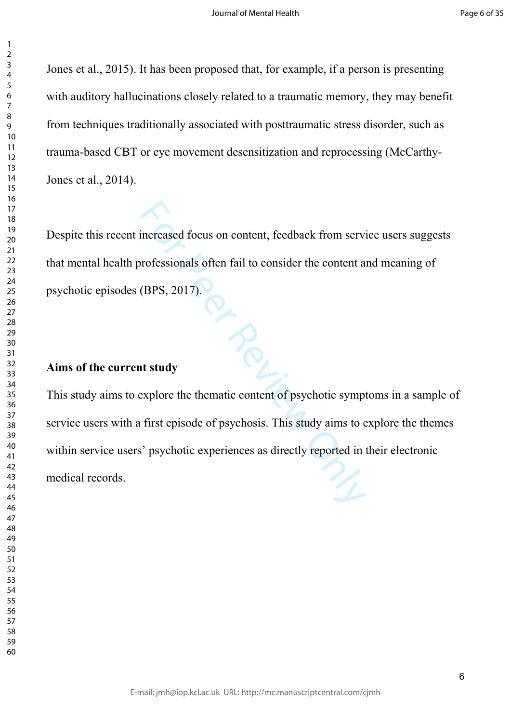Jones et al., 2015). It has been proposed that, for example, if a person is presenting with auditory hallucinations closely related to a traumatic memory, they may benefit from techniques traditionally associated with posttraumatic stress disorder, such as trauma-based CBT or eye movement desensitization and reprocessing (McCarthy-Jones et al., 2014).

Despite this recent increased focus on content, feedback from service users suggests that mental health professionals often fail to consider the content and meaning of psychotic episodes (BPS, 2017).

### **Aims of the current study**

the thematic content of psychotic symptometries as directly reported in the experiences as directly reported in This study aims to explore the thematic content of psychotic symptoms in a sample of service users with a first episode of psychosis. This study aims to explore the themes within service users' psychotic experiences as directly reported in their electronic medical records.

 $\mathbf{1}$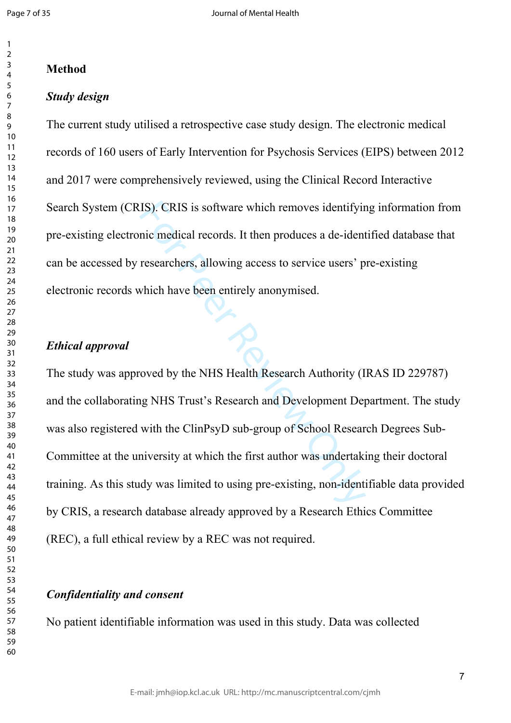$\mathbf{1}$  $\overline{2}$ 

#### $\overline{4}$  $\overline{7}$

### **Method**

### *Study design*

The current study utilised a retrospective case study design. The electronic medical records of 160 users of Early Intervention for Psychosis Services (EIPS) between 2012 and 2017 were comprehensively reviewed, using the Clinical Record Interactive Search System (CRIS). CRIS is software which removes identifying information from pre-existing electronic medical records. It then produces a de-identified database that can be accessed by researchers, allowing access to service users' pre-existing electronic records which have been entirely anonymised.

### *Ethical approval*

IS). CRIS is software which removes identifyir<br>nic medical records. It then produces a de-ident<br>researchers, allowing access to service users' p<br>which have been entirely anonymised.<br>oved by the NHS Health Research Authorit The study was approved by the NHS Health Research Authority (IRAS ID 229787) and the collaborating NHS Trust's Research and Development Department. The study was also registered with the ClinPsyD sub-group of School Research Degrees Sub-Committee at the university at which the first author was undertaking their doctoral training. As this study was limited to using pre-existing, non-identifiable data provided by CRIS, a research database already approved by a Research Ethics Committee (REC), a full ethical review by a REC was not required.

### *Confidentiality and consent*

No patient identifiable information was used in this study. Data was collected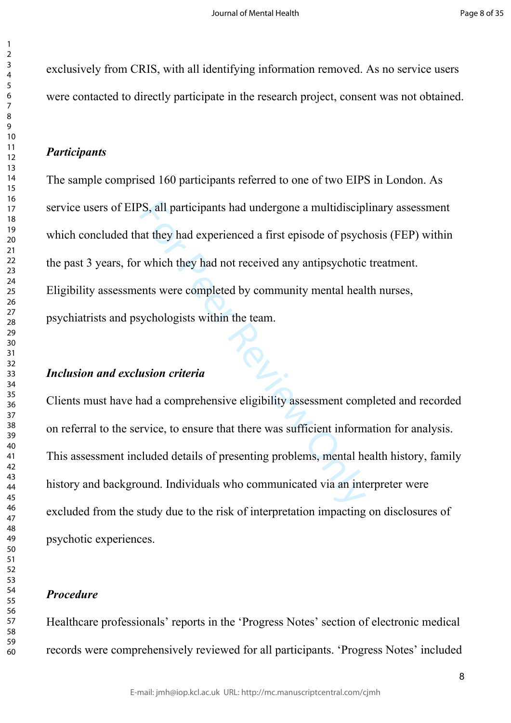exclusively from CRIS, with all identifying information removed. As no service users were contacted to directly participate in the research project, consent was not obtained.

### *Participants*

S, all participants had undergone a multidiscip<br>at they had experienced a first episode of psych<br>which they had not received any antipsychotic<br>ents were completed by community mental heal<br>ychologists within the team.<br>**usio** The sample comprised 160 participants referred to one of two EIPS in London. As service users of EIPS, all participants had undergone a multidisciplinary assessment which concluded that they had experienced a first episode of psychosis (FEP) within the past 3 years, for which they had not received any antipsychotic treatment. Eligibility assessments were completed by community mental health nurses, psychiatrists and psychologists within the team.

## *Inclusion and exclusion criteria*

Clients must have had a comprehensive eligibility assessment completed and recorded on referral to the service, to ensure that there was sufficient information for analysis. This assessment included details of presenting problems, mental health history, family history and background. Individuals who communicated via an interpreter were excluded from the study due to the risk of interpretation impacting on disclosures of psychotic experiences.

## *Procedure*

Healthcare professionals' reports in the 'Progress Notes' section of electronic medical records were comprehensively reviewed for all participants. 'Progress Notes' included

 $\mathbf{1}$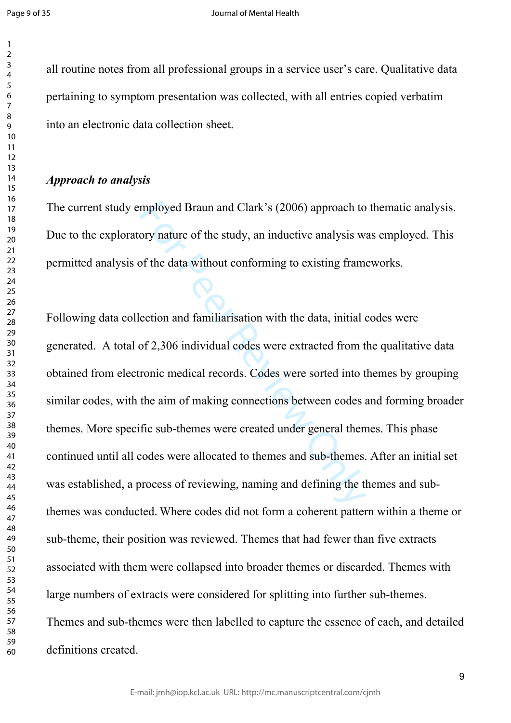all routine notes from all professional groups in a service user's care. Qualitative data pertaining to symptom presentation was collected, with all entries copied verbatim into an electronic data collection sheet.

## *Approach to analysis*

The current study employed Braun and Clark's (2006) approach to thematic analysis. Due to the exploratory nature of the study, an inductive analysis was employed. This permitted analysis of the data without conforming to existing frameworks.

mployed Braun and Clark's (2006) approach to<br>ory nature of the study, an inductive analysis w<br>of the data without conforming to existing fram<br>ection and familiarisation with the data, initial<br>of 2,306 individual codes were Following data collection and familiarisation with the data, initial codes were generated. A total of 2,306 individual codes were extracted from the qualitative data obtained from electronic medical records. Codes were sorted into themes by grouping similar codes, with the aim of making connections between codes and forming broader themes. More specific sub-themes were created under general themes. This phase continued until all codes were allocated to themes and sub-themes. After an initial set was established, a process of reviewing, naming and defining the themes and subthemes was conducted. Where codes did not form a coherent pattern within a theme or sub-theme, their position was reviewed. Themes that had fewer than five extracts associated with them were collapsed into broader themes or discarded. Themes with large numbers of extracts were considered for splitting into further sub-themes. Themes and sub-themes were then labelled to capture the essence of each, and detailed definitions created.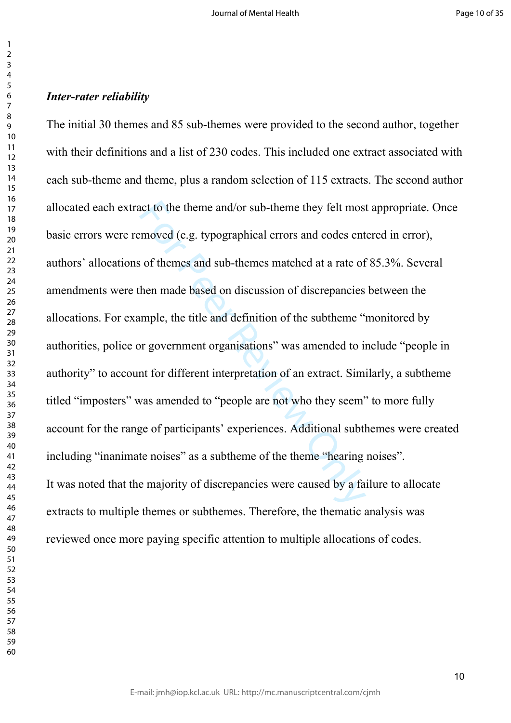### *Inter-rater reliability*

net to the theme and/or sub-theme they felt most moved (e.g. typographical errors and codes ents of themes and sub-themes matched at a rate of them made based on discussion of discrepancies mple, the title and definition o The initial 30 themes and 85 sub-themes were provided to the second author, together with their definitions and a list of 230 codes. This included one extract associated with each sub-theme and theme, plus a random selection of 115 extracts. The second author allocated each extract to the theme and/or sub-theme they felt most appropriate. Once basic errors were removed (e.g. typographical errors and codes entered in error), authors' allocations of themes and sub-themes matched at a rate of 85.3%. Several amendments were then made based on discussion of discrepancies between the allocations. For example, the title and definition of the subtheme "monitored by authorities, police or government organisations" was amended to include "people in authority" to account for different interpretation of an extract. Similarly, a subtheme titled "imposters" was amended to "people are not who they seem" to more fully account for the range of participants' experiences. Additional subthemes were created including "inanimate noises" as a subtheme of the theme "hearing noises". It was noted that the majority of discrepancies were caused by a failure to allocate extracts to multiple themes or subthemes. Therefore, the thematic analysis was reviewed once more paying specific attention to multiple allocations of codes.

 $\mathbf{1}$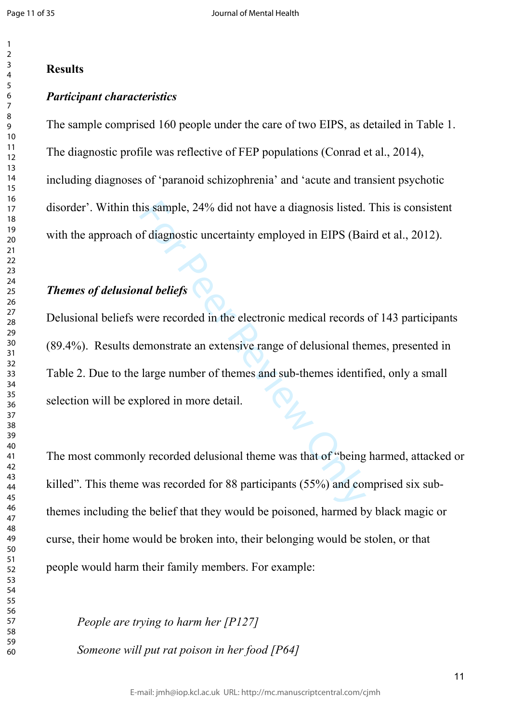#### $\overline{2}$  $\overline{4}$  $\overline{7}$

### **Results**

### *Participant characteristics*

The sample comprised 160 people under the care of two EIPS, as detailed in Table 1. The diagnostic profile was reflective of FEP populations (Conrad et al., 2014), including diagnoses of 'paranoid schizophrenia' and 'acute and transient psychotic disorder'. Within this sample, 24% did not have a diagnosis listed. This is consistent with the approach of diagnostic uncertainty employed in EIPS (Baird et al., 2012).

# *Themes of delusional beliefs*

is sample, 24% did not have a diagnosis listed.<br>
of diagnostic uncertainty employed in EIPS (Ba<br> **and beliefs**<br>
Were recorded in the electronic medical records<br>
emonstrate an extensive range of delusional the<br>
large number Delusional beliefs were recorded in the electronic medical records of 143 participants (89.4%). Results demonstrate an extensive range of delusional themes, presented in Table 2. Due to the large number of themes and sub-themes identified, only a small selection will be explored in more detail.

The most commonly recorded delusional theme was that of "being harmed, attacked or killed". This theme was recorded for 88 participants (55%) and comprised six subthemes including the belief that they would be poisoned, harmed by black magic or curse, their home would be broken into, their belonging would be stolen, or that people would harm their family members. For example:

*People are trying to harm her [P127] Someone will put rat poison in her food [P64]*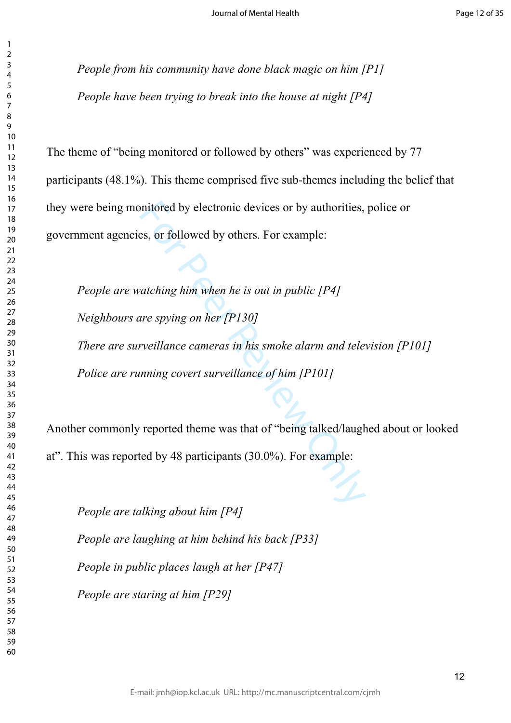*People from his community have done black magic on him [P1] People have been trying to break into the house at night [P4]*

The theme of "being monitored or followed by others" was experienced by 77 participants (48.1%). This theme comprised five sub-themes including the belief that they were being monitored by electronic devices or by authorities, police or government agencies, or followed by others. For example:

mitored by electronic devices or by authorities,<br>es, or followed by others. For example:<br>atching him when he is out in public [P4]<br>are spying on her [P130]<br>rveillance cameras in his smoke alarm and tele<br>nning covert survei *People are watching him when he is out in public [P4] Neighbours are spying on her [P130] There are surveillance cameras in his smoke alarm and television [P101] Police are running covert surveillance of him [P101]*

Another commonly reported theme was that of "being talked/laughed about or looked at". This was reported by 48 participants (30.0%). For example:

*People are talking about him [P4] People are laughing at him behind his back [P33]*

*People in public places laugh at her [P47]*

*People are staring at him [P29]* 

 $\mathbf{1}$  $\overline{2}$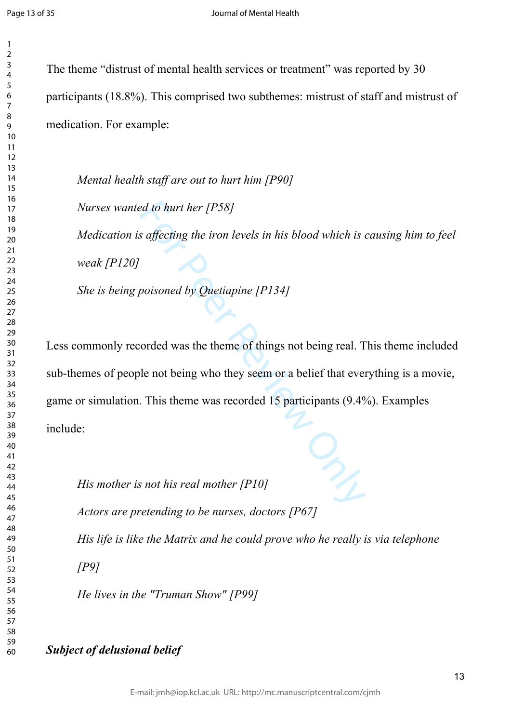$\mathbf{1}$  $\overline{2}$ 

The theme "distrust of mental health services or treatment" was reported by 30 participants (18.8%). This comprised two subthemes: mistrust of staff and mistrust of medication. For example:

*Mental health staff are out to hurt him [P90]*

*Nurses wanted to hurt her [P58]*

*Medication is affecting the iron levels in his blood which is causing him to feel weak [P120]*

*She is being poisoned by Quetiapine [P134]*

*ed to hurt her [P58]*<br> *s affecting the iron levels in his blood which is*<br>
poisoned by Quetiapine [P134]<br>
orded was the theme of things not being real. T<br>
le not being who they seem or a belief that ever<br>
. This theme wa Less commonly recorded was the theme of things not being real. This theme included sub-themes of people not being who they seem or a belief that everything is a movie, game or simulation. This theme was recorded 15 participants (9.4%). Examples include:

*His mother is not his real mother [P10]*

*Actors are pretending to be nurses, doctors [P67]*

*His life is like the Matrix and he could prove who he really is via telephone* 

*[P9]*

*He lives in the "Truman Show" [P99]*

*Subject of delusional belief*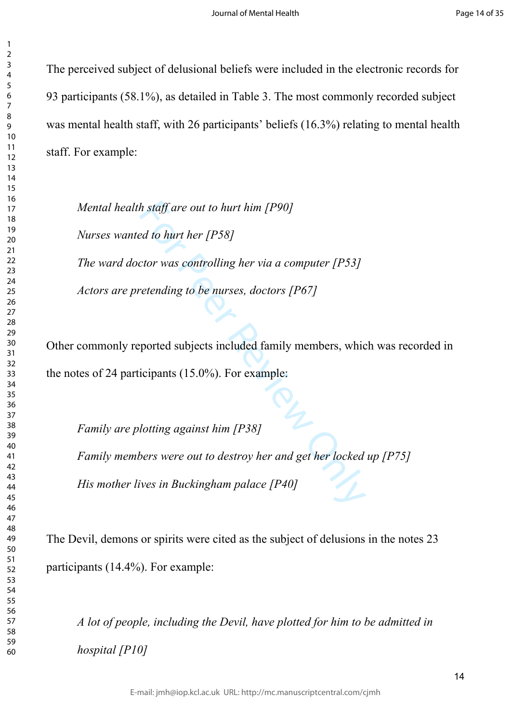$\mathbf{1}$ 

The perceived subject of delusional beliefs were included in the electronic records for 93 participants (58.1%), as detailed in Table 3. The most commonly recorded subject was mental health staff, with 26 participants' beliefs (16.3%) relating to mental health staff. For example:

*h* staff are out to hurt him [P90]<br> *ed to hurt her [P58]*<br>
ctor was controlling her via a computer [P53]<br>
retending to be nurses, doctors [P67]<br>
ported subjects included family members, whic<br>
icipants (15.0%). For exampl *Mental health staff are out to hurt him [P90] Nurses wanted to hurt her [P58] The ward doctor was controlling her via a computer [P53] Actors are pretending to be nurses, doctors [P67]*

Other commonly reported subjects included family members, which was recorded in the notes of 24 participants (15.0%). For example:

*Family are plotting against him [P38] Family members were out to destroy her and get her locked up [P75] His mother lives in Buckingham palace [P40]*

The Devil, demons or spirits were cited as the subject of delusions in the notes 23 participants (14.4%). For example:

*A lot of people, including the Devil, have plotted for him to be admitted in hospital [P10]*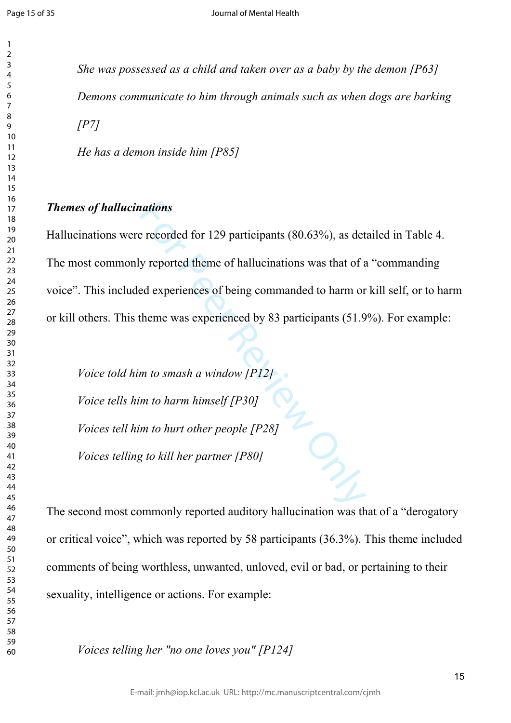$\mathbf{1}$  $\overline{2}$  $\overline{3}$  $\overline{4}$  $\overline{7}$  $\mathsf{Q}$ 

*She was possessed as a child and taken over as a baby by the demon [P63] Demons communicate to him through animals such as when dogs are barking [P7]*

*He has a demon inside him [P85]*

## *Themes of hallucinations*

ations<br>
e recorded for 129 participants (80.63%), as det<br>
y reported theme of hallucinations was that of a<br>
ed experiences of being commanded to harm or<br>
theme was experienced by 83 participants (51.9<br>
m to smash a window Hallucinations were recorded for 129 participants (80.63%), as detailed in Table 4. The most commonly reported theme of hallucinations was that of a "commanding voice". This included experiences of being commanded to harm or kill self, or to harm or kill others. This theme was experienced by 83 participants (51.9%). For example:

*Voice told him to smash a window [P12] Voice tells him to harm himself [P30] Voices tell him to hurt other people [P28] Voices telling to kill her partner [P80]*

The second most commonly reported auditory hallucination was that of a "derogatory or critical voice", which was reported by 58 participants (36.3%). This theme included comments of being worthless, unwanted, unloved, evil or bad, or pertaining to their sexuality, intelligence or actions. For example:

*Voices telling her "no one loves you" [P124]*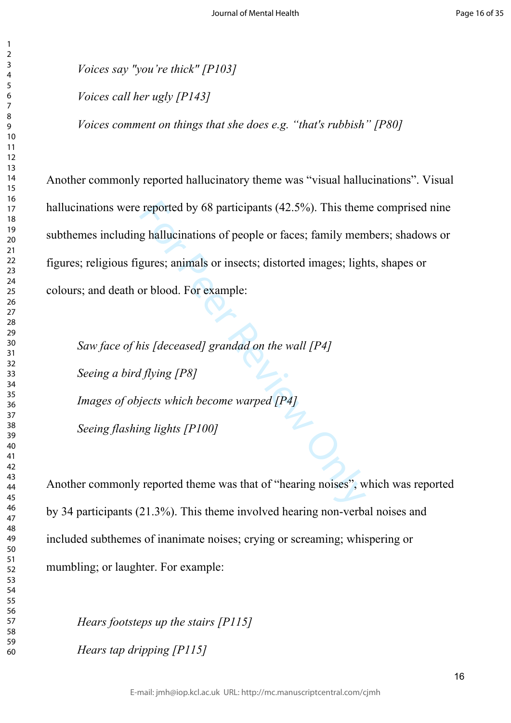*Voices say "you're thick" [P103] Voices call her ugly [P143] Voices comment on things that she does e.g. "that's rubbish" [P80]*

reported by 68 participants (42.5%). This them<br>g hallucinations of people or faces; family men<br>gures; animals or insects; distorted images; ligh<br>or blood. For example:<br>is *[deceased] grandad on the wall [P4]*<br>*If ying [P8* Another commonly reported hallucinatory theme was "visual hallucinations". Visual hallucinations were reported by 68 participants (42.5%). This theme comprised nine subthemes including hallucinations of people or faces; family members; shadows or figures; religious figures; animals or insects; distorted images; lights, shapes or colours; and death or blood. For example:

*Saw face of his [deceased] grandad on the wall [P4] Seeing a bird flying [P8] Images of objects which become warped [P4] Seeing flashing lights [P100]*

Another commonly reported theme was that of "hearing noises", which was reported by 34 participants (21.3%). This theme involved hearing non-verbal noises and included subthemes of inanimate noises; crying or screaming; whispering or mumbling; or laughter. For example:

*Hears footsteps up the stairs [P115] Hears tap dripping [P115]*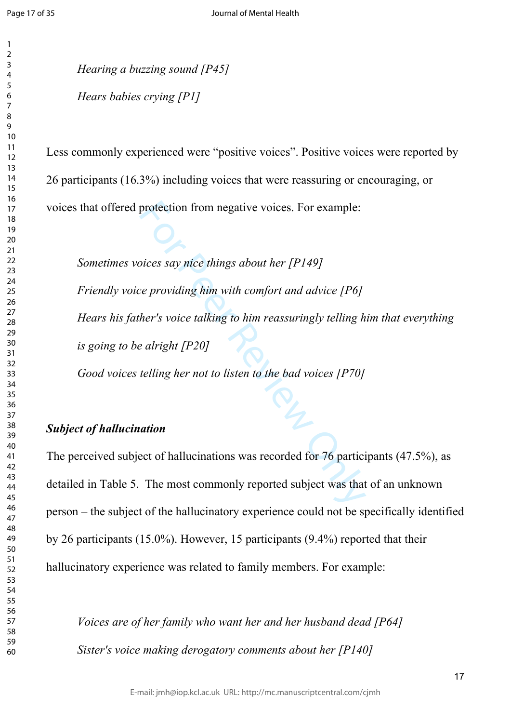$\mathbf{1}$  $\overline{2}$  $\overline{4}$  $\overline{7}$ 

*Hearing a buzzing sound [P45] Hears babies crying [P1]*

Less commonly experienced were "positive voices". Positive voices were reported by 26 participants (16.3%) including voices that were reassuring or encouraging, or voices that offered protection from negative voices. For example:

protection from negative voices. For example:<br>
pices say nice things about her [P149]<br>
pices say nice things about her [P149]<br>
per providing him with comfort and advice [P6]<br>
her's voice talking to him reassuringly telling *Sometimes voices say nice things about her [P149] Friendly voice providing him with comfort and advice [P6] Hears his father's voice talking to him reassuringly telling him that everything is going to be alright [P20]*

*Good voices telling her not to listen to the bad voices [P70]*

## *Subject of hallucination*

The perceived subject of hallucinations was recorded for 76 participants (47.5%), as detailed in Table 5. The most commonly reported subject was that of an unknown person – the subject of the hallucinatory experience could not be specifically identified by 26 participants (15.0%). However, 15 participants (9.4%) reported that their hallucinatory experience was related to family members. For example:

*Voices are of her family who want her and her husband dead [P64] Sister's voice making derogatory comments about her [P140]*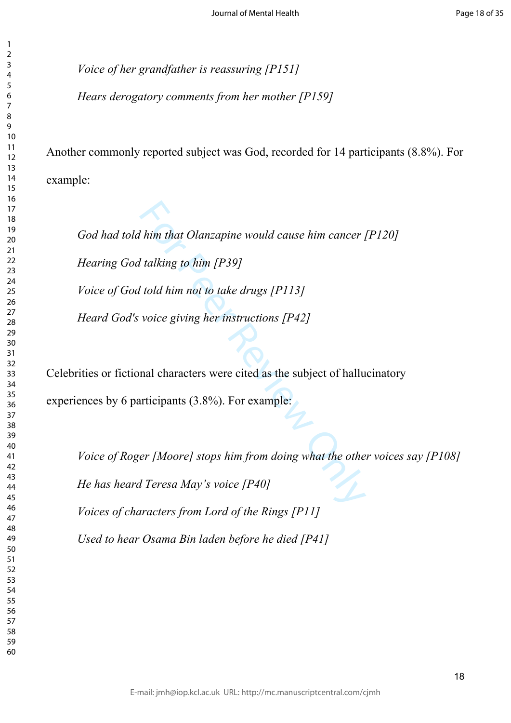*Voice of her grandfather is reassuring [P151]*

 $\mathbf{1}$  $\overline{2}$  $\overline{4}$  $\overline{7}$ 

*Hears derogatory comments from her mother [P159]*

Another commonly reported subject was God, recorded for 14 participants (8.8%). For example:

*I* him that Olanzapine would cause him cancer *I*<br>*I* talking to him [P39]<br>*Voice giving her instructions [P42]*<br>**I** voice giving her instructions [P42]<br>**I** mal characters were cited as the subject of hallu<br>**I** articipant *God had told him that Olanzapine would cause him cancer [P120] Hearing God talking to him [P39] Voice of God told him not to take drugs [P113] Heard God's voice giving her instructions [P42]*

Celebrities or fictional characters were cited as the subject of hallucinatory experiences by 6 participants (3.8%). For example:

*Voice of Roger [Moore] stops him from doing what the other voices say [P108] He has heard Teresa May's voice [P40] Voices of characters from Lord of the Rings [P11] Used to hear Osama Bin laden before he died [P41]*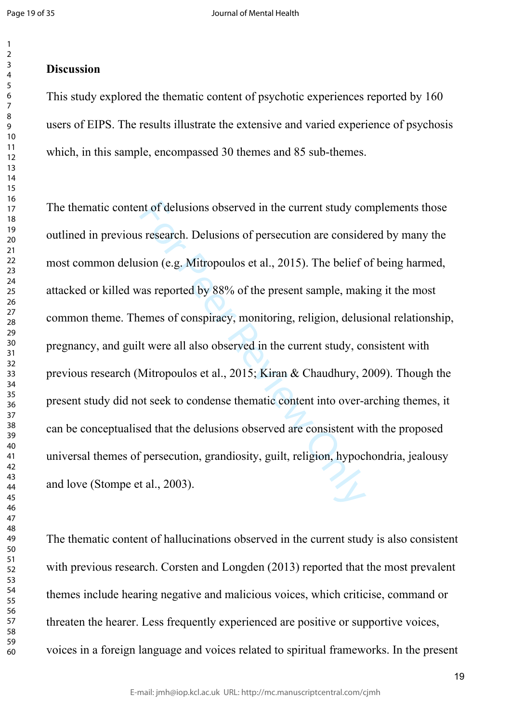#### $\overline{2}$  $\overline{3}$  $\overline{4}$  $\overline{7}$

## **Discussion**

This study explored the thematic content of psychotic experiences reported by 160 users of EIPS. The results illustrate the extensive and varied experience of psychosis which, in this sample, encompassed 30 themes and 85 sub-themes.

nt of delusions observed in the current study compreses are also as research. Delusions of persecution are considered sion (e.g. Mitropoulos et al., 2015). The belief or as reported by 88% of the present sample, make emes The thematic content of delusions observed in the current study complements those outlined in previous research. Delusions of persecution are considered by many the most common delusion (e.g. Mitropoulos et al., 2015). The belief of being harmed, attacked or killed was reported by 88% of the present sample, making it the most common theme. Themes of conspiracy, monitoring, religion, delusional relationship, pregnancy, and guilt were all also observed in the current study, consistent with previous research (Mitropoulos et al., 2015; Kiran & Chaudhury, 2009). Though the present study did not seek to condense thematic content into over-arching themes, it can be conceptualised that the delusions observed are consistent with the proposed universal themes of persecution, grandiosity, guilt, religion, hypochondria, jealousy and love (Stompe et al., 2003).

The thematic content of hallucinations observed in the current study is also consistent with previous research. Corsten and Longden (2013) reported that the most prevalent themes include hearing negative and malicious voices, which criticise, command or threaten the hearer. Less frequently experienced are positive or supportive voices, voices in a foreign language and voices related to spiritual frameworks. In the present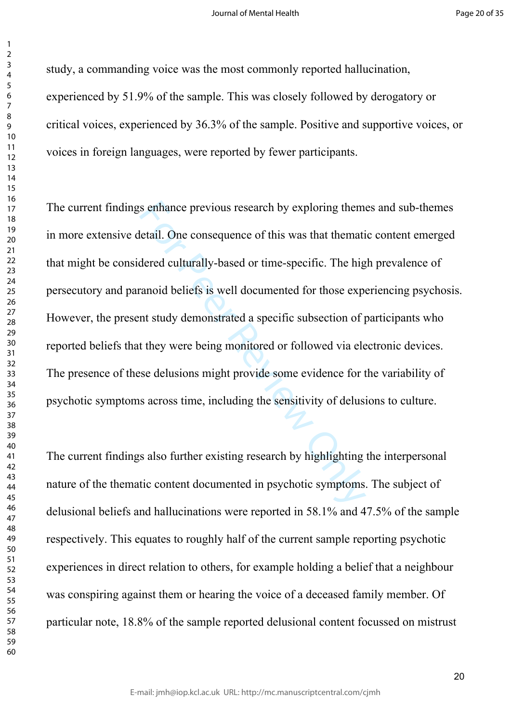$\mathbf{1}$ 

study, a commanding voice was the most commonly reported hallucination, experienced by 51.9% of the sample. This was closely followed by derogatory or critical voices, experienced by 36.3% of the sample. Positive and supportive voices, or voices in foreign languages, were reported by fewer participants.

s enhance previous research by exploring them<br>letail. One consequence of this was that themati<br>dered culturally-based or time-specific. The hig<br>anoid beliefs is well documented for those exp<br>nt study demonstrated a specifi The current findings enhance previous research by exploring themes and sub-themes in more extensive detail. One consequence of this was that thematic content emerged that might be considered culturally-based or time-specific. The high prevalence of persecutory and paranoid beliefs is well documented for those experiencing psychosis. However, the present study demonstrated a specific subsection of participants who reported beliefs that they were being monitored or followed via electronic devices. The presence of these delusions might provide some evidence for the variability of psychotic symptoms across time, including the sensitivity of delusions to culture.

The current findings also further existing research by highlighting the interpersonal nature of the thematic content documented in psychotic symptoms. The subject of delusional beliefs and hallucinations were reported in 58.1% and 47.5% of the sample respectively. This equates to roughly half of the current sample reporting psychotic experiences in direct relation to others, for example holding a belief that a neighbour was conspiring against them or hearing the voice of a deceased family member. Of particular note, 18.8% of the sample reported delusional content focussed on mistrust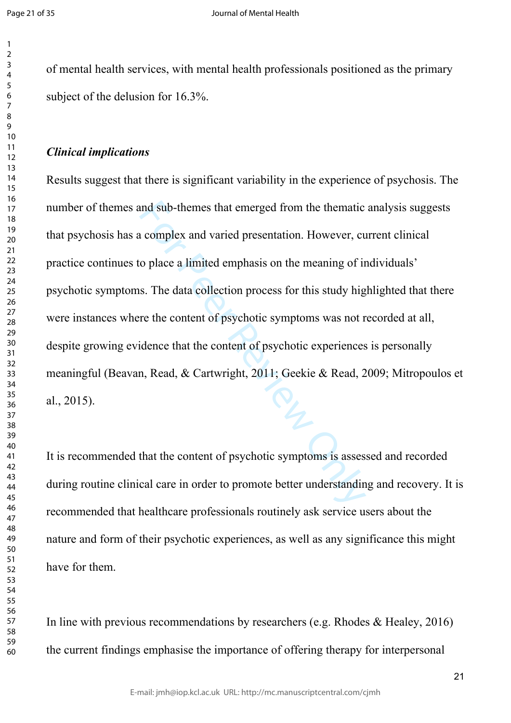$\mathbf{1}$  $\overline{2}$  $\overline{4}$  $\overline{7}$ 

of mental health services, with mental health professionals positioned as the primary subject of the delusion for 16.3%.

### *Clinical implications*

and sub-themes that emerged from the thematic<br>
complex and varied presentation. However, co<br>
o place a limited emphasis on the meaning of in<br>
s. The data collection process for this study hig<br>
re the content of psychotic s Results suggest that there is significant variability in the experience of psychosis. The number of themes and sub-themes that emerged from the thematic analysis suggests that psychosis has a complex and varied presentation. However, current clinical practice continues to place a limited emphasis on the meaning of individuals' psychotic symptoms. The data collection process for this study highlighted that there were instances where the content of psychotic symptoms was not recorded at all, despite growing evidence that the content of psychotic experiences is personally meaningful (Beavan, Read, & Cartwright, 2011; Geekie & Read, 2009; Mitropoulos et al., 2015).

It is recommended that the content of psychotic symptoms is assessed and recorded during routine clinical care in order to promote better understanding and recovery. It is recommended that healthcare professionals routinely ask service users about the nature and form of their psychotic experiences, as well as any significance this might have for them.

In line with previous recommendations by researchers (e.g. Rhodes & Healey, 2016) the current findings emphasise the importance of offering therapy for interpersonal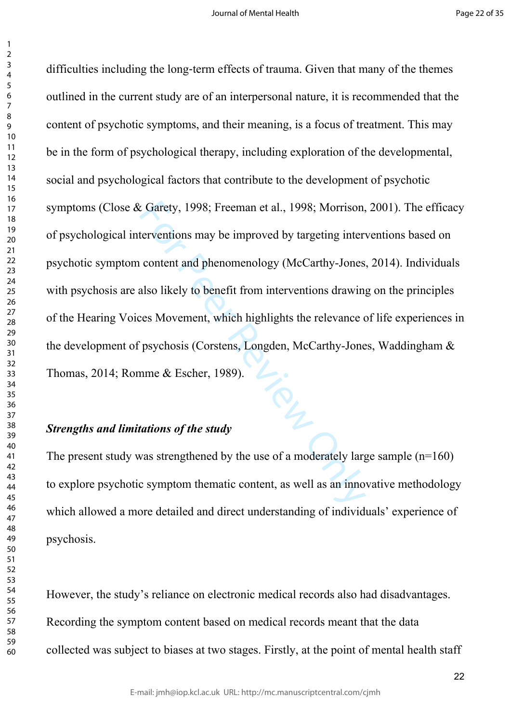$\mathbf{1}$ 

Example 2008; Freeman et al., 1998; Morrison,<br>terventions may be improved by targeting inter<br>content and phenomenology (McCarthy-Jones<br>also likely to benefit from interventions drawing<br>ces Movement, which highlights the re difficulties including the long-term effects of trauma. Given that many of the themes outlined in the current study are of an interpersonal nature, it is recommended that the content of psychotic symptoms, and their meaning, is a focus of treatment. This may be in the form of psychological therapy, including exploration of the developmental, social and psychological factors that contribute to the development of psychotic symptoms (Close & Garety, 1998; Freeman et al., 1998; Morrison, 2001). The efficacy of psychological interventions may be improved by targeting interventions based on psychotic symptom content and phenomenology (McCarthy-Jones, 2014). Individuals with psychosis are also likely to benefit from interventions drawing on the principles of the Hearing Voices Movement, which highlights the relevance of life experiences in the development of psychosis (Corstens, Longden, McCarthy-Jones, Waddingham &<br>Thomas, 2014; Romme & Escher, 1989).<br>Strengths and limitations of the study Thomas, 2014; Romme & Escher, 1989).

## *Strengths and limitations of the study*

The present study was strengthened by the use of a moderately large sample  $(n=160)$ to explore psychotic symptom thematic content, as well as an innovative methodology which allowed a more detailed and direct understanding of individuals' experience of psychosis.

However, the study's reliance on electronic medical records also had disadvantages. Recording the symptom content based on medical records meant that the data collected was subject to biases at two stages. Firstly, at the point of mental health staff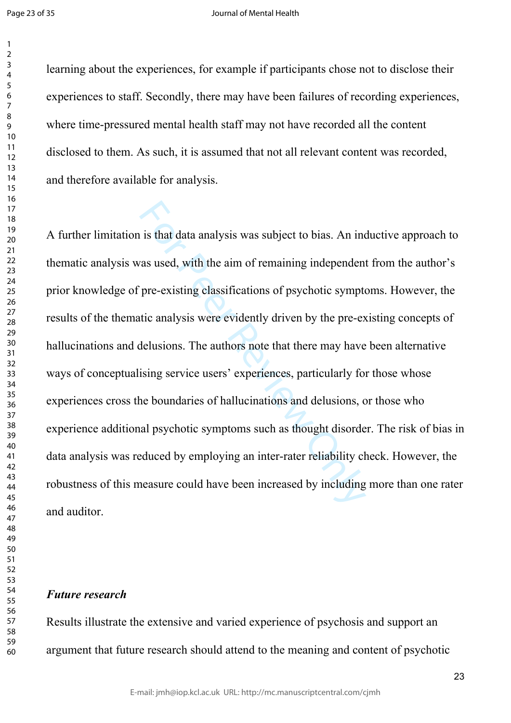learning about the experiences, for example if participants chose not to disclose their experiences to staff. Secondly, there may have been failures of recording experiences, where time-pressured mental health staff may not have recorded all the content disclosed to them. As such, it is assumed that not all relevant content was recorded, and therefore available for analysis.

is that data analysis was subject to bias. An increase used, with the aim of remaining independent pre-existing classifications of psychotic symptotic analysis were evidently driven by the pre-existing service evidently dr A further limitation is that data analysis was subject to bias. An inductive approach to thematic analysis was used, with the aim of remaining independent from the author's prior knowledge of pre-existing classifications of psychotic symptoms. However, the results of the thematic analysis were evidently driven by the pre-existing concepts of hallucinations and delusions. The authors note that there may have been alternative ways of conceptualising service users' experiences, particularly for those whose experiences cross the boundaries of hallucinations and delusions, or those who experience additional psychotic symptoms such as thought disorder. The risk of bias in data analysis was reduced by employing an inter-rater reliability check. However, the robustness of this measure could have been increased by including more than one rater and auditor.

### *Future research*

Results illustrate the extensive and varied experience of psychosis and support an argument that future research should attend to the meaning and content of psychotic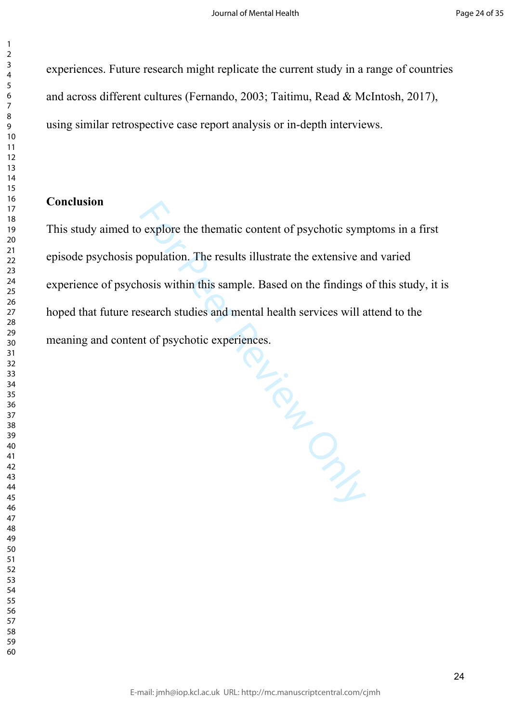experiences. Future research might replicate the current study in a range of countries and across different cultures (Fernando, 2003; Taitimu, Read & McIntosh, 2017), using similar retrospective case report analysis or in-depth interviews.

## **Conclusion**

 $\mathbf{1}$  $\overline{2}$  $\overline{3}$  $\overline{4}$  $\overline{7}$ 

This study aimed to explore the thematic content of psychotic symptoms in a first episode psychosis population. The results illustrate the extensive and varied experience of psychosis within this sample. Based on the findings of this study, it is hoped that future research studies and mental health services will attend to the meaning and content of psychotic experiences.

MENTON PL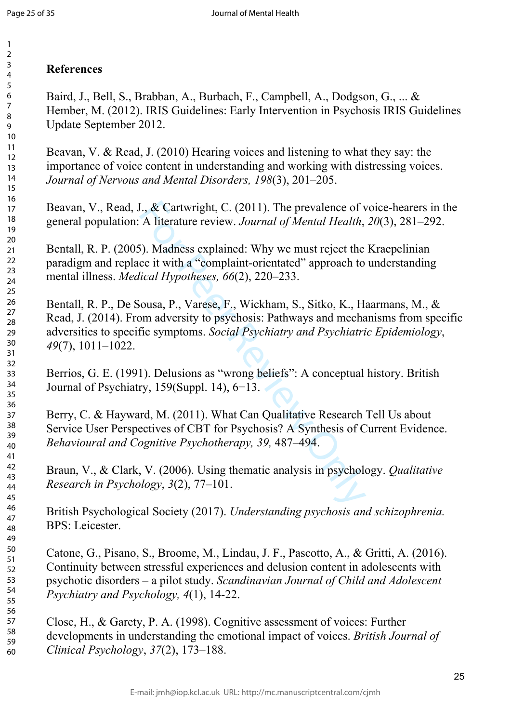#### 123456789  $\overline{2}$  $\overline{3}$  $\overline{4}$ 5 6  $\overline{7}$ 8 9 10 11 12 13 14 15 16 17 18 19 20 21 22 23 24 25 26 27 28 29 30 31 32 33 34 35 36 37 38 39 40 41 42 43 44 45 46 47 48 49 50 51 52 53 54 55 56 57 58 59

60

# **References**

Baird, J., Bell, S., Brabban, A., Burbach, F., Campbell, A., Dodgson, G., ... & Hember, M. (2012). IRIS Guidelines: Early Intervention in Psychosis IRIS Guidelines Update September 2012.

Beavan, V. & Read, J. (2010) Hearing voices and listening to what they say: the importance of voice content in understanding and working with distressing voices. *Journal of Nervous and Mental Disorders, 198*(3), 201–205.

Beavan, V., Read, J., & Cartwright, C. (2011). The prevalence of voice-hearers in the general population: A literature review. *Journal of Mental Health*, *20*(3), 281–292.

Bentall, R. P. (2005). Madness explained: Why we must reject the Kraepelinian paradigm and replace it with a "complaint-orientated" approach to understanding mental illness. *Medical Hypotheses, 66*(2), 220–233.

I., & Cartwright, C. (2011). The prevalence of v<br>A literature review. Journal of Mental Health,<br>S). Madness explained: Why we must reject the<br>ce it with a "complaint-orientated" approach to<br>lical Hypotheses, 66(2), 220–23 Bentall, R. P., De Sousa, P., Varese, F., Wickham, S., Sitko, K., Haarmans, M., & Read, J. (2014). From adversity to psychosis: Pathways and mechanisms from specific adversities to specific symptoms. *Social Psychiatry and Psychiatric Epidemiology*, *49*(7), 1011–1022.

Berrios, G. E. (1991). Delusions as "wrong beliefs": A conceptual history. British Journal of Psychiatry, 159(Suppl. 14), 6−13.

Berry, C. & Hayward, M. (2011). What Can Qualitative Research Tell Us about Service User Perspectives of CBT for Psychosis? A Synthesis of Current Evidence. *Behavioural and Cognitive Psychotherapy, 39,* 487–494.

Braun, V., & Clark, V. (2006). Using thematic analysis in psychology. *Qualitative Research in Psychology*, *3*(2), 77–101.

British Psychological Society (2017). *Understanding psychosis and schizophrenia.*  BPS: Leicester.

Catone, G., Pisano, S., Broome, M., Lindau, J. F., Pascotto, A., & Gritti, A. (2016). Continuity between stressful experiences and delusion content in adolescents with psychotic disorders – a pilot study. *Scandinavian Journal of Child and Adolescent Psychiatry and Psychology, 4*(1), 14-22.

Close, H., & Garety, P. A. (1998). Cognitive assessment of voices: Further developments in understanding the emotional impact of voices. *British Journal of Clinical Psychology*, *37*(2), 173–188.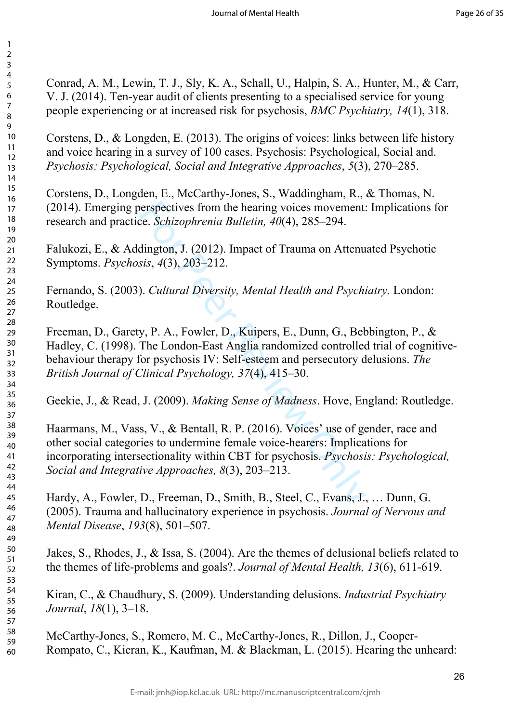Conrad, A. M., Lewin, T. J., Sly, K. A., Schall, U., Halpin, S. A., Hunter, M., & Carr, V. J. (2014). Ten-year audit of clients presenting to a specialised service for young people experiencing or at increased risk for psychosis, *BMC Psychiatry, 14*(1), 318.

123456789

 $\mathbf{1}$  $\overline{2}$  $\overline{3}$  $\overline{4}$ 5 6  $\overline{7}$ 8 9

Corstens, D., & Longden, E. (2013). The origins of voices: links between life history and voice hearing in a survey of 100 cases. Psychosis: Psychological, Social and. *Psychosis: Psychological, Social and Integrative Approaches*, *5*(3), 270–285.

Corstens, D., Longden, E., McCarthy-Jones, S., Waddingham, R., & Thomas, N. (2014). Emerging perspectives from the hearing voices movement: Implications for research and practice. *Schizophrenia Bulletin, 40*(4), 285–294.

Falukozi, E., & Addington, J. (2012). Impact of Trauma on Attenuated Psychotic Symptoms. *Psychosis*, *4*(3), 203–212.

Fernando, S. (2003). *Cultural Diversity, Mental Health and Psychiatry.* London: Routledge.

erspectives from the hearing voices movement.<br>
E. *Schizophrenia Bulletin, 40*(4), 285–294.<br>
dington, J. (2012). Impact of Trauma on Attenu<br>
sis, 4(3), 203–212.<br>
). *Cultural Diversity, Mental Health and Psychiany, P. A.,* Freeman, D., Garety, P. A., Fowler, D., Kuipers, E., Dunn, G., Bebbington, P., & Hadley, C. (1998). The London-East Anglia randomized controlled trial of cognitivebehaviour therapy for psychosis IV: Self-esteem and persecutory delusions. *The British Journal of Clinical Psychology, 37*(4), 415–30.

Geekie, J., & Read, J. (2009). *Making Sense of Madness*. Hove, England: Routledge.

Haarmans, M., Vass, V., & Bentall, R. P. (2016). Voices' use of gender, race and other social categories to undermine female voice-hearers: Implications for incorporating intersectionality within CBT for psychosis. *Psychosis: Psychological, Social and Integrative Approaches, 8*(3), 203–213.

Hardy, A., Fowler, D., Freeman, D., Smith, B., Steel, C., Evans, J., … Dunn, G. (2005). Trauma and hallucinatory experience in psychosis. *Journal of Nervous and Mental Disease*, *193*(8), 501–507.

Jakes, S., Rhodes, J., & Issa, S. (2004). Are the themes of delusional beliefs related to the themes of life-problems and goals?. *Journal of Mental Health, 13*(6), 611-619.

Kiran, C., & Chaudhury, S. (2009). Understanding delusions. *Industrial Psychiatry Journal*, *18*(1), 3–18.

McCarthy-Jones, S., Romero, M. C., McCarthy-Jones, R., Dillon, J., Cooper-Rompato, C., Kieran, K., Kaufman, M. & Blackman, L. (2015). Hearing the unheard: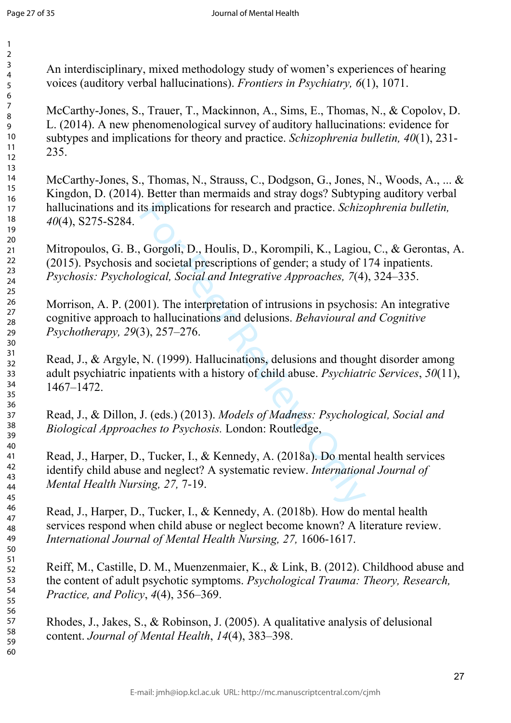An interdisciplinary, mixed methodology study of women's experiences of hearing voices (auditory verbal hallucinations). *Frontiers in Psychiatry, 6*(1), 1071.

McCarthy-Jones, S., Trauer, T., Mackinnon, A., Sims, E., Thomas, N., & Copolov, D. L. (2014). A new phenomenological survey of auditory hallucinations: evidence for subtypes and implications for theory and practice. *Schizophrenia bulletin, 40*(1), 231- 235.

McCarthy-Jones, S., Thomas, N., Strauss, C., Dodgson, G., Jones, N., Woods, A., ... & Kingdon, D. (2014). Better than mermaids and stray dogs? Subtyping auditory verbal hallucinations and its implications for research and practice. *Schizophrenia bulletin, 40*(4), S275-S284.

ts implications for research and practice. *Schize*<br>
Gorgoli, D., Houlis, D., Korompili, K., Lagiou<br>
and societal prescriptions of gender; a study of 1<br>
ogical, *Social and Integrative Approaches*, 7(4)<br>
01). The interpre Mitropoulos, G. B., Gorgoli, D., Houlis, D., Korompili, K., Lagiou, C., & Gerontas, A. (2015). Psychosis and societal prescriptions of gender; a study of 174 inpatients. *Psychosis: Psychological, Social and Integrative Approaches, 7*(4), 324–335.

Morrison, A. P. (2001). The interpretation of intrusions in psychosis: An integrative cognitive approach to hallucinations and delusions. *Behavioural and Cognitive Psychotherapy, 29*(3), 257–276.

Read, J., & Argyle, N. (1999). Hallucinations, delusions and thought disorder among adult psychiatric inpatients with a history of child abuse. *Psychiatric Services*, *50*(11), 1467–1472.

Read, J., & Dillon, J. (eds.) (2013). *Models of Madness: Psychological, Social and Biological Approaches to Psychosis.* London: Routledge,

Read, J., Harper, D., Tucker, I., & Kennedy, A. (2018a). Do mental health services identify child abuse and neglect? A systematic review. *International Journal of Mental Health Nursing, 27,* 7-19.

Read, J., Harper, D., Tucker, I., & Kennedy, A. (2018b). How do mental health services respond when child abuse or neglect become known? A literature review. *International Journal of Mental Health Nursing, 27,* 1606-1617.

Reiff, M., Castille, D. M., Muenzenmaier, K., & Link, B. (2012). Childhood abuse and the content of adult psychotic symptoms. *Psychological Trauma: Theory, Research, Practice, and Policy*, *4*(4), 356–369.

Rhodes, J., Jakes, S., & Robinson, J. (2005). A qualitative analysis of delusional content. *Journal of Mental Health*, *14*(4), 383–398.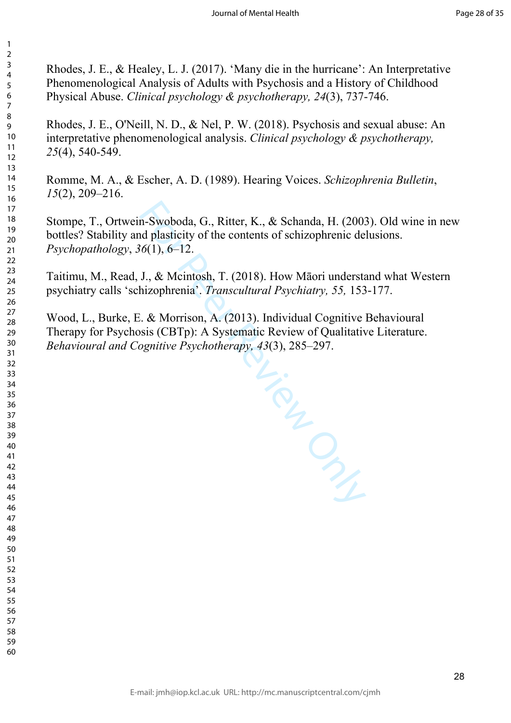Rhodes, J. E., & Healey, L. J. (2017). 'Many die in the hurricane': An Interpretative Phenomenological Analysis of Adults with Psychosis and a History of Childhood Physical Abuse. *Clinical psychology & psychotherapy, 24*(3), 737-746.

 $\mathbf{1}$  $\overline{2}$  $\overline{4}$  $\overline{7}$ 

Rhodes, J. E., O'Neill, N. D., & Nel, P. W. (2018). Psychosis and sexual abuse: An interpretative phenomenological analysis. *Clinical psychology & psychotherapy,*  (4), 540-549.

Romme, M. A., & Escher, A. D. (1989). Hearing Voices. *Schizophrenia Bulletin*, (2), 209–216.

Stompe, T., Ortwein-Swoboda, G., Ritter, K., & Schanda, H. (2003). Old wine in new bottles? Stability and plasticity of the contents of schizophrenic delusions. *Psychopathology*, *36*(1), 6–12.

Taitimu, M., Read, J., & Mcintosh, T. (2018). How Māori understand what Western psychiatry calls 'schizophrenia'. *Transcultural Psychiatry, 55,* 153-177.

THE PRINCIP

Wood, L., Burke, E. & Morrison, A. (2013). Individual Cognitive Behavioural Therapy for Psychosis (CBTp): A Systematic Review of Qualitative Literature. *Behavioural and Cognitive Psychotherapy, 43*(3), 285–297.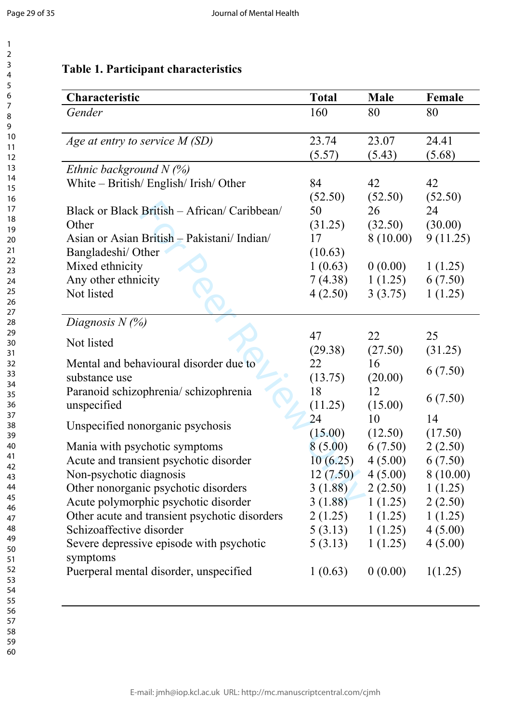# **Table 1. Participant characteristics**

| Characteristic                                | <b>Total</b> | <b>Male</b>             | Female   |
|-----------------------------------------------|--------------|-------------------------|----------|
| Gender                                        | 160          | 80                      | 80       |
| Age at entry to service M (SD)                | 23.74        | 23.07                   | 24.41    |
|                                               | (5.57)       | (5.43)                  | (5.68)   |
| Ethnic background $N$ (%)                     |              |                         |          |
| White – British/ English/ Irish/ Other        | 84           | 42                      | 42       |
|                                               | (52.50)      | (52.50)                 | (52.50)  |
| Black or Black British – African/ Caribbean/  | 50           | 26                      | 24       |
| Other                                         | (31.25)      | (32.50)                 | (30.00)  |
| Asian or Asian British - Pakistani/ Indian/   | 17           | 8(10.00)                | 9(11.25) |
| Bangladeshi/ Other                            | (10.63)      |                         |          |
| Mixed ethnicity                               | 1(0.63)      | 0(0.00)                 | 1(1.25)  |
| Any other ethnicity                           | 7(4.38)      | 1(1.25)                 | 6(7.50)  |
| Not listed                                    | 4(2.50)      | 3(3.75)                 | 1(1.25)  |
|                                               |              |                         |          |
| Diagnosis $N(\%)$                             |              |                         |          |
| Not listed                                    | 47           | 22                      | 25       |
|                                               | (29.38)      | (27.50)                 | (31.25)  |
| Mental and behavioural disorder due to        | 22           | 16                      | 6(7.50)  |
| substance use                                 | (13.75)      | (20.00)                 |          |
| Paranoid schizophrenia/ schizophrenia         | 18           | 12                      | 6(7.50)  |
| unspecified                                   | (11.25)      | (15.00)                 |          |
| Unspecified nonorganic psychosis              | 24           | 10                      | 14       |
|                                               | (15.00)      | (12.50)                 | (17.50)  |
| Mania with psychotic symptoms                 | 8(5.00)      | 6(7.50)                 | 2(2.50)  |
| Acute and transient psychotic disorder        | 10(6.25)     | 4(5.00)                 | 6(7.50)  |
| Non-psychotic diagnosis                       | 12(7.50)     | 4(5.00)                 | 8(10.00) |
| Other nonorganic psychotic disorders          |              | $3(1.88)$ $2(2.50)$     | 1(1.25)  |
| Acute polymorphic psychotic disorder          |              | $3(1.88)$ $1(1.25)$     | 2(2.50)  |
| Other acute and transient psychotic disorders |              | $2(1.25) \quad 1(1.25)$ | 1(1.25)  |
| Schizoaffective disorder                      |              | $5(3.13) \quad 1(1.25)$ | 4(5.00)  |
| Severe depressive episode with psychotic      | 5(3.13)      | 1(1.25)                 | 4(5.00)  |
| symptoms                                      |              |                         |          |
| Puerperal mental disorder, unspecified        | 1(0.63)      | 0(0.00)                 | 1(1.25)  |
|                                               |              |                         |          |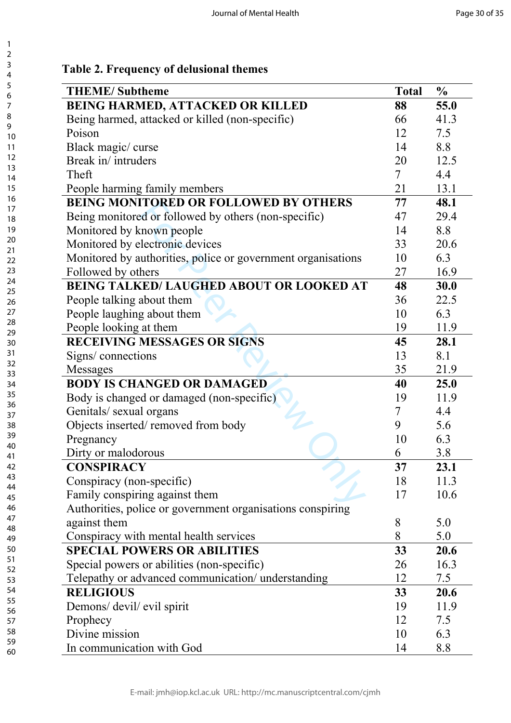## **Table 2. Frequency of delusional themes**

| <b>THEME/Subtheme</b>                                        | <b>Total</b>             | $\frac{0}{0}$ |
|--------------------------------------------------------------|--------------------------|---------------|
| <b>BEING HARMED, ATTACKED OR KILLED</b>                      | 88                       | 55.0          |
| Being harmed, attacked or killed (non-specific)              | 66                       | 41.3          |
| Poison                                                       | 12                       | 7.5           |
| Black magic/curse                                            | 14                       | 8.8           |
| Break in/intruders                                           | 20                       | 12.5          |
| Theft                                                        | $\overline{\mathcal{L}}$ | 4.4           |
| People harming family members                                | 21                       | 13.1          |
| <b>BEING MONITORED OR FOLLOWED BY OTHERS</b>                 | 77                       | 48.1          |
| Being monitored or followed by others (non-specific)         | 47                       | 29.4          |
| Monitored by known people                                    | 14                       | 8.8           |
| Monitored by electronic devices                              | 33                       | 20.6          |
| Monitored by authorities, police or government organisations | 10                       | 6.3           |
| Followed by others                                           | 27                       | 16.9          |
| <b>BEING TALKED/ LAUGHED ABOUT OR LOOKED AT</b>              | 48                       | 30.0          |
| People talking about them                                    | 36                       | 22.5          |
| People laughing about them                                   | 10                       | 6.3           |
| People looking at them                                       | 19                       | 11.9          |
| <b>RECEIVING MESSAGES OR SIGNS</b>                           | 45                       | 28.1          |
| Signs/connections                                            | 13                       | 8.1           |
| <b>Messages</b>                                              | 35                       | 21.9          |
| <b>BODY IS CHANGED OR DAMAGED</b>                            | 40                       | 25.0          |
| Body is changed or damaged (non-specific)                    | 19                       | 11.9          |
| Genitals/ sexual organs                                      | 7                        | 4.4           |
| Objects inserted/removed from body                           | 9                        | 5.6           |
| Pregnancy                                                    | 10                       | 6.3           |
| Dirty or malodorous                                          | 6                        | 3.8           |
| <b>CONSPIRACY</b>                                            | 37                       | 23.1          |
| Conspiracy (non-specific)                                    | 18                       | 11.3          |
| Family conspiring against them                               | 17                       | 10.6          |
| Authorities, police or government organisations conspiring   |                          |               |
| against them                                                 | 8                        | 5.0           |
| Conspiracy with mental health services                       | 8                        | 5.0           |
| <b>SPECIAL POWERS OR ABILITIES</b>                           | 33                       | 20.6          |
| Special powers or abilities (non-specific)                   | 26                       | 16.3          |
| Telepathy or advanced communication/ understanding           | 12                       | 7.5           |
| <b>RELIGIOUS</b>                                             | 33                       | 20.6          |
| Demons/ devil/ evil spirit                                   | 19                       | 11.9          |
| Prophecy                                                     | 12                       | 7.5           |
| Divine mission                                               | 10                       | 6.3           |
| In communication with God                                    | 14                       | 8.8           |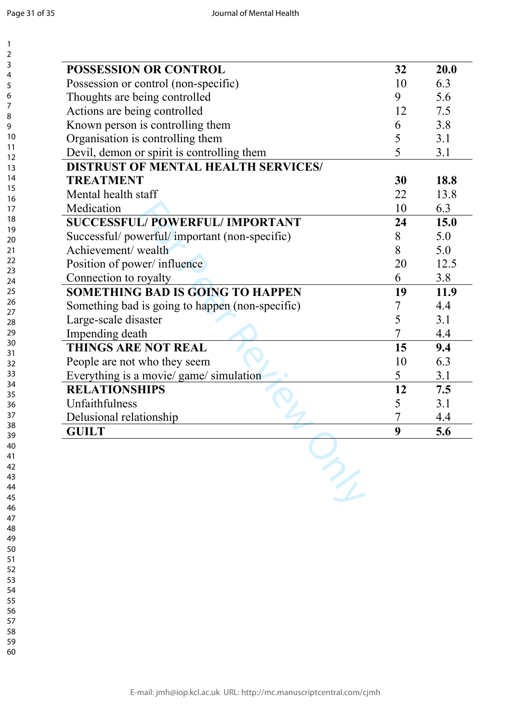| POSSESSION OR CONTROL                           | 32 | 20.0 |  |
|-------------------------------------------------|----|------|--|
| Possession or control (non-specific)            | 10 | 6.3  |  |
| Thoughts are being controlled                   | 9  | 5.6  |  |
| Actions are being controlled                    | 12 | 7.5  |  |
| Known person is controlling them                | 6  | 3.8  |  |
| Organisation is controlling them                | 5  | 3.1  |  |
| Devil, demon or spirit is controlling them      | 5  | 3.1  |  |
| <b>DISTRUST OF MENTAL HEALTH SERVICES/</b>      |    |      |  |
| <b>TREATMENT</b>                                | 30 | 18.8 |  |
| Mental health staff                             | 22 | 13.8 |  |
| Medication                                      | 10 | 6.3  |  |
| SUCCESSFUL/POWERFUL/IMPORTANT                   | 24 | 15.0 |  |
| Successful/powerful/important (non-specific)    | 8  | 5.0  |  |
| Achievement/wealth                              | 8  | 5.0  |  |
| Position of power/influence                     | 20 | 12.5 |  |
| Connection to royalty                           | 6  | 3.8  |  |
| <b>SOMETHING BAD IS GOING TO HAPPEN</b>         | 19 | 11.9 |  |
| Something bad is going to happen (non-specific) | 7  | 4.4  |  |
| Large-scale disaster                            | 5  | 3.1  |  |
| Impending death                                 | 7  | 4.4  |  |
| <b>THINGS ARE NOT REAL</b>                      | 15 | 9.4  |  |
| People are not who they seem                    | 10 | 6.3  |  |
| Everything is a movie/ game/ simulation         | 5  | 3.1  |  |
| <b>RELATIONSHIPS</b>                            | 12 | 7.5  |  |
| Unfaithfulness                                  | 5  | 3.1  |  |
| Delusional relationship                         | 7  | 4.4  |  |
| <b>GUILT</b>                                    | 9  | 5.6  |  |
|                                                 |    |      |  |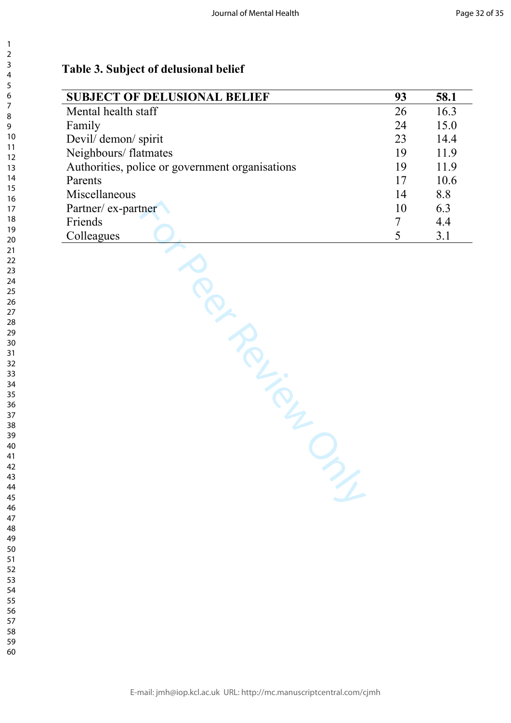## **Table 3. Subject of delusional belief**

| <b>SUBJECT OF DELUSIONAL BELIEF</b>             | 93     | 58.1 |
|-------------------------------------------------|--------|------|
| Mental health staff                             | 26     | 16.3 |
| Family                                          | 24     | 15.0 |
| Devil/demon/spirit                              | 23     | 14.4 |
| Neighbours/ flatmates                           | 19     | 11.9 |
| Authorities, police or government organisations | 19     | 11.9 |
| Parents                                         | 17     | 10.6 |
| Miscellaneous                                   | 14     | 8.8  |
| Partner/ ex-partner                             | 10     | 6.3  |
| Friends                                         | $\tau$ | 4.4  |
| Colleagues                                      | 5      | 3.1  |
| ia Richard<br>$\mathcal{P}_{\mathbf{z}}$        |        |      |

 $\mathbf{1}$  $\overline{2}$  $\overline{3}$ 

- 
- 
- 
-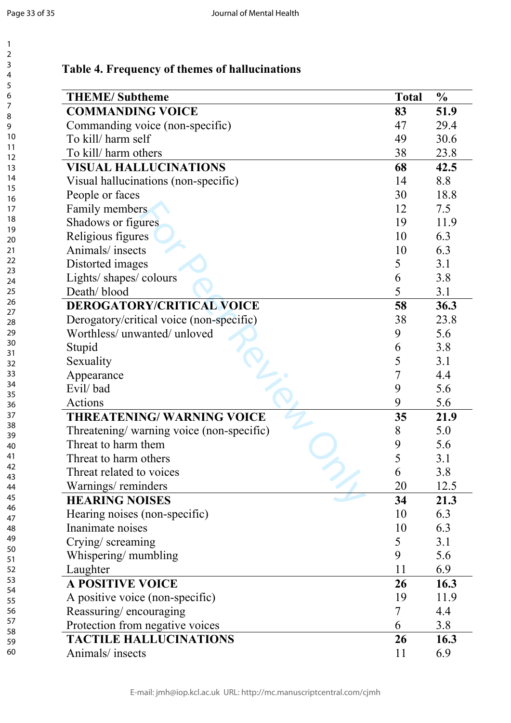$\mathbf{1}$  $\overline{2}$ 

| <b>THEME/Subtheme</b>                    | <b>Total</b> | $\frac{0}{0}$ |
|------------------------------------------|--------------|---------------|
| <b>COMMANDING VOICE</b>                  | 83           | 51.9          |
| Commanding voice (non-specific)          | 47           | 29.4          |
| To kill/ harm self                       | 49           | 30.6          |
| To kill/ harm others                     | 38           | 23.8          |
| <b>VISUAL HALLUCINATIONS</b>             | 68           | 42.5          |
| Visual hallucinations (non-specific)     | 14           | 8.8           |
| People or faces                          | 30           | 18.8          |
| Family members                           | 12           | 7.5           |
| Shadows or figures                       | 19           | 11.9          |
| Religious figures                        | 10           | 6.3           |
| Animals/insects                          | 10           | 6.3           |
| Distorted images                         | 5            | 3.1           |
| Lights/ shapes/ colours                  | 6            | 3.8           |
| Death/blood                              | 5            | 3.1           |
| DEROGATORY/CRITICAL VOICE                | 58           | 36.3          |
| Derogatory/critical voice (non-specific) | 38           | 23.8          |
| Worthless/ unwanted/ unloved             | 9            | 5.6           |
| Stupid                                   | 6            | 3.8           |
| Sexuality                                | 5            | 3.1           |
|                                          | 7            | 4.4           |
| Appearance<br>Evil/bad                   | 9            | 5.6           |
| Actions                                  | 9            |               |
| <b>THREATENING/WARNING VOICE</b>         | 35           | 5.6           |
|                                          | 8            | 21.9<br>5.0   |
| Threatening/warning voice (non-specific) |              |               |
| Threat to harm them                      | 9<br>5       | 5.6           |
| Threat to harm others                    |              | 3.1           |
| Threat related to voices                 | 6            | 3.8           |
| Warnings/reminders                       | 20           | 12.5          |
| <b>HEARING NOISES</b>                    | 34           | 21.3          |
| Hearing noises (non-specific)            | 10           | 6.3           |
| Inanimate noises                         | 10           | 6.3           |
| Crying/screaming                         | 5            | 3.1           |
| Whispering/mumbling                      | 9            | 5.6           |
| Laughter                                 | 11           | 6.9           |
| <b>A POSITIVE VOICE</b>                  | 26           | 16.3          |
| A positive voice (non-specific)          | 19           | 11.9          |
| Reassuring/encouraging                   | 7            | 4.4           |
| Protection from negative voices          | 6            | 3.8           |
| <b>TACTILE HALLUCINATIONS</b>            | 26           | 16.3          |
| Animals/insects                          | 11           | 6.9           |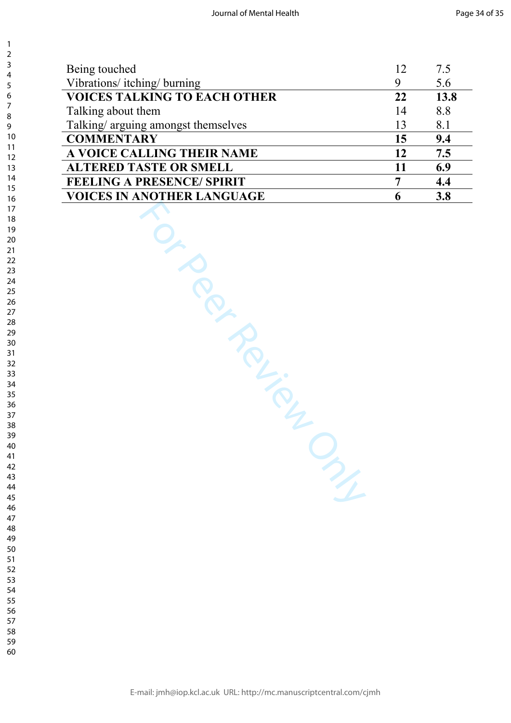| Being touched                       | 12 | 7.5  |
|-------------------------------------|----|------|
| Vibrations/itching/burning          | 9  | 5.6  |
| <b>VOICES TALKING TO EACH OTHER</b> | 22 | 13.8 |
| Talking about them                  | 14 | 8.8  |
| Talking/arguing amongst themselves  | 13 | 8.1  |
| <b>COMMENTARY</b>                   | 15 | 9.4  |
| A VOICE CALLING THEIR NAME          | 12 | 7.5  |
| <b>ALTERED TASTE OR SMELL</b>       | 11 | 6.9  |
| <b>FEELING A PRESENCE/ SPIRIT</b>   | 7  | 4.4  |
| <b>VOICES IN ANOTHER LANGUAGE</b>   | 6  | 3.8  |
|                                     |    |      |
|                                     |    |      |
|                                     |    |      |
|                                     |    |      |
|                                     |    |      |
| JEF                                 |    |      |
|                                     |    |      |
| PRIMERIES                           |    |      |
|                                     |    |      |
|                                     |    |      |
|                                     |    |      |
|                                     |    |      |
|                                     |    |      |
|                                     |    |      |
|                                     |    |      |
|                                     |    |      |
|                                     |    |      |
|                                     |    |      |
|                                     |    |      |
|                                     |    |      |
|                                     |    |      |
|                                     |    |      |

 $\mathbf{1}$  $\overline{2}$  $\overline{3}$  $\overline{4}$  $\overline{7}$